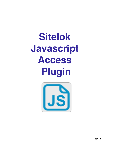# **Sitelok Javascript Access Plugin**



V1.1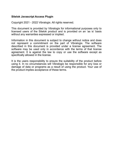#### **Sitelok Javascript Access Plugin**

Copyright 2021 - 2022 Vibralogix. All rights reserved.

This document is provided by Vibralogix for informational purposes only to licensed users of the Sitelok product and is provided on an 'as is' basis without any warranties expressed or implied.

Information in this document is subject to change without notice and does not represent a commitment on the part of Vibralogix. The software described in this document is provided under a license agreement. The software may be used only in accordance with the terms of that license agreement. It is against the law to copy or use the software except as specifically allowed in the license.

It is the users responsibility to ensure the suitability of the product before using it. In no circumstances will Vibralogix be responsible for any loss or damage of data or programs as a result of using the product. Your use of the product implies acceptance of these terms.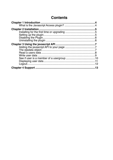# **Contents**

| <b>Chapter 4 Support</b> | 13 |
|--------------------------|----|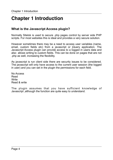# <span id="page-3-0"></span>**Chapter 1 Introduction**

# <span id="page-3-1"></span>**What is the Javascript Access plugin?**

Normally Sitelok is used to secure .php pages control by server side PHP scripts. For most websites this is ideal and provides a very secure solution.

However sometimes there may be a need to access user variables (name, email, custom fields etc) from a javascript or jQuery application. The Javascript Access plugin can provide access to a logged in users data and also allows writing to custom fields. This can be done on pages that are not .php as well, increasing the flexibility.

As javascript is run client side there are security issues to be considered. The javascript will only have access to the current user session (the logged in user) and you can set in the plugin the permissions for each field.

No Access Read **Write** Read & write

The plugin assumes that you have sufficient knowledge of Javascript ,although the function are quite easy to understand.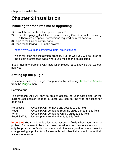# <span id="page-4-0"></span>**Chapter 2 Installation**

## <span id="page-4-1"></span>**Installing for the first time or upgrading**

- 1) Extract the contents of the zip file to your PC.
- 2) Upload the plugin slis folder to your existing Sitelok slpw folder using FTP. There are no special permissions required on most servers.
- 3) Login to the Sitelok control panel.
- 4) Open the following URL in the browser

https://www.yoursite.com/slpw/plugin\_sljs/install.php

which will start the installation process. If all is well you will be taken to the plugin preferences page where you will see the plugin listed.

If you have any problems with installation please let us know so that we can help you.

# <span id="page-4-2"></span>**Setting up the plugin**

You can access the plugin configuration by selecting Javascript Access from the Plugins menu.

#### **Permissions**

The javascript API will only be able to access the user data fields for the current user session (logged in user). You can set the type of access for each field.

No access Javascript will not have any access to this field Read Javascript will be able to read the value stored in this field Write **Javascript will be able to write a value to this field** Read & Write Javascript can read and write to this field

**Important** You should only allow read access to fields where you have no problem for the user to be able to see the value stored. Write access should only be provided to fields that you would otherwise provide user access to change using a profile form for example. All other fields should have their access to to None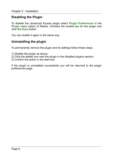# <span id="page-5-0"></span>**Disabling the Plugin**

To disable the Javascript Access plugin select **Plugin Preferences** in the **Plugin** menu option of Sitelok. Uncheck the enable box for the plugin and click the **Save** button.

You can enable it again in the same way.

# <span id="page-5-1"></span>**Uninstalling the plugin**

To permanently remove the plugin and its settings follow these steps.

- 1) Disable the plugin as above.
- 2) Click the delete icon next the plugin in the disabled plugins section.
- 3) Confirm the action in the alert box.

If the plugin is uninstalled successfully you will be returned to the plugin preferences page.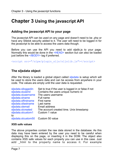# <span id="page-6-0"></span>**Chapter 3 Using the javascript API**

# <span id="page-6-1"></span>**Adding the javascript API to your page**

The javascript API can be used on any page and doesn't need to be .php or have any Sitelok security added to it. The user will need to be logged in for the javascript to be able to access the users data though.

Before you can use the API you need to add sljslib.js to your page. Normally this would be done in the <HEAD> section but can also be loaded just before the  $\leq$ /BODY> tag if preferred.

<script src="/slpw/plugin\_sljs/sljslib.js"></script>

## <span id="page-6-2"></span>**The sljsdata object**

After the library is loaded a global object called sljsdata is setup which will be used to store the users data and can be access from anywhere in your code. The values are empty until the user data is requested.

| sljsdata.slloggedin<br>sljsdata.sluserid | Set to true if the user is logged in or false if not<br>Contains the users unique numeric id |
|------------------------------------------|----------------------------------------------------------------------------------------------|
|                                          |                                                                                              |
| sljsdata.slusername                      | The users username                                                                           |
| sljsdata.slname                          | Full name                                                                                    |
| sljsdata.slfirstname                     | First name                                                                                   |
| sljsdata.sllastname                      | Last name                                                                                    |
| sljsdata.slemail                         | Email address                                                                                |
| sljsdata.slcreated                       | The account created time. Unix timestamp                                                     |
| sljsdata.slcustom1                       | Custom 1 value                                                                               |
| to                                       |                                                                                              |
| sljsdata.slcustom50                      | Custom 50 value                                                                              |

#### **XSS safe values**

The above properties contain the raw data stored in the database. As this data may have been entered by the user you need to be careful when displaying this on the page, or inserting it in the DOM. The object also contains XSS safe values for each property you can use in this case. Just add html to the property name to access it. For example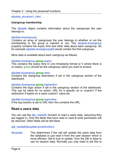sljsdata slcustom1 html

#### **Usergroup membership**

The slisdata object contains information about the usergroups the user belongs to.

#### sljsdata.slusergroups

Contains an array of usergroups the user belongs to whether or not the membership to the group is expired or not. The slisdata.slusergroup property contains the expiry time and other data about each usergroup. So for example sljsdata.slusergroups[0] would contain the first usergroup.

More data is available about each usergroup as follows.

#### sljsdata.slusergroup.**group**.expiry

This contains the expiry time in unix timestamp format or 0 where there is no expiry. group should be the usergroup name you want to access.

#### sljsdata.slusergroup.**group**.desc

Contains the usergroup description if set in the usergroup section of the dashboard.

#### sljsdata.slusergroup.**group**.loginaction

Contains the login action if set in the usergroup section of the dashboard. This can be blank for no action, URL for a specific url or custom1 if the redirection if based on a users custom1 value etc.

#### sljsdata.slusergroup.**group**.loginvalue

If the log inaction is set to URL then this contains the URL.

#### <span id="page-7-0"></span>**Read a users data**

You can use the sljs\_readall() function to read a users data, assuming they are logged in. Only the fields that have read or read & write permission will be returned. Other fields will be left blank.

sljs\_readall(dbupdate,donefunction);

dbupdate This determines if the call will update the users data from the database or just read it from the user session which is more efficient. Set to true to update from the DB or false to use he session data. Normally you only need to set this to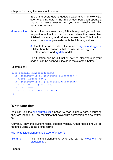true of the users data is updated externally. In Sitelok V6.3 even changing data in the Sitelok dashboard will update a logged in users session so you can usually set this parameter to false.

donefunction As a call to the server using AJAX is required you will need to provide a function that is called when the server has finished processing and returns the user data. This function is sent one status parameter with the following values.

> 0 Unable to retrieve data. If the value of jsljsdata.slloggedin is false then the reason is that the user is not logged in. 1 Data retrieved and slisdata updated

> The function can be a function defined elsewhere in your code or can be defined inline as in the example below.

#### Example call

```
slis_readall(function(status) {
   if ((status==1) && (sljsdata.slloggedin))
     alert("Logged in");
   if ((status==1) && (!sljsdata.slloggedin))
     alert("Not logged in");
   if (status==0)
     alert("read data failed");
});
```
### <span id="page-8-0"></span>**Write user data**

You can use the slis writefield() function to read a users data, assuming they are logged in. Only the fields that have write permission can be written to.

Currently only the custom fields support writing. Other fields should be updated using update profile forms.

slis\_writefield(fieldname,value,donefunction);

filename This is the fieldname to write and can be 'slcustom1' to 'slcustom50'.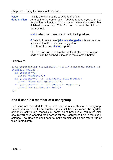value This is the string value to write to the field.<br>
donefunction As a call to the server using AJAX is requ

As a call to the server using AJAX is required you will need to provide a function that is called when the server has finished processing. This function is sent the following parameters.

status which can have one of the following values.

0 Failed. If the value of jsljsdata.slloggedin is false then the reason is that the user is not logged in. 1 Data written and slisdata updated

The function can be a function defined elsewhere in your code or can be defined inline as in the example below.

Example call

```
sljs writefield('slcustom25','Hello',function(status,wr
itefield,value) { 
   if (status==1) 
     alert("Updated"); 
   if ((status==0) && (!sljsdata.slloggedin)) 
    alert("User not logged in");
   if ((status==0) && (sljsdata.slloggedin)) 
     alert("write data failed"); 
});
```
# <span id="page-9-0"></span>**See if user is a member of a usergroup**

Functions are provided to check if a user is a member of a usergroup. Before you can use these function you must have initialised the sljsdata object by calling slis readall() at some point previously. You must also ensure you have enabled read access for the Usergroups field in the plugin settings. The functions don't need to make an ajax call so can return true or false immediately.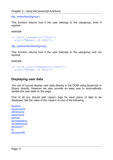sljs\_ismemberof(group)

This function returns true if the user belongs to the usergroup, even if expired.

example

```
if (sljs_ismemberof('GOLD')) 
  alert("Member of GOLD');
```
sljs\_isactivememberof(group)

This function returns true if the user belongs to the usergroup and not expired.

example

```
if (sljs_isactivememberof('GOLD')) 
   alert("Member of GOLD');
```
## <span id="page-10-0"></span>**Displaying user data**

You can of course display user data directly in the DOM using javascript or jQuery directly. However we also provide an easy way to automatically update the user data on the page.

First of all you should add <span> tags for each piece of data to be displayed. Set the class of the <span> to one of the following

sluserid slusername slfirstname sllastname slemail slcreateddmy slcreatedmdy slcustom1 to slcustom50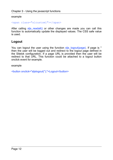#### example

```
<span class="slcustom1"></span>
```
After calling sljs\_readall() or other changes are made you can call this function to automatically update the displayed values. The CSS safe value is used.

# <span id="page-11-0"></span>**Logout**

You can logout the user using the function slis logout(page). If page is " then the user will be logged out and redirect to the logout page defined in the Sitelok configuration. If a page URL is provided then the user will be redirect to that URL. This function could be attached to a logout button onclick event for example.

example

<button onclick="sljslogout('');">Logout</button>